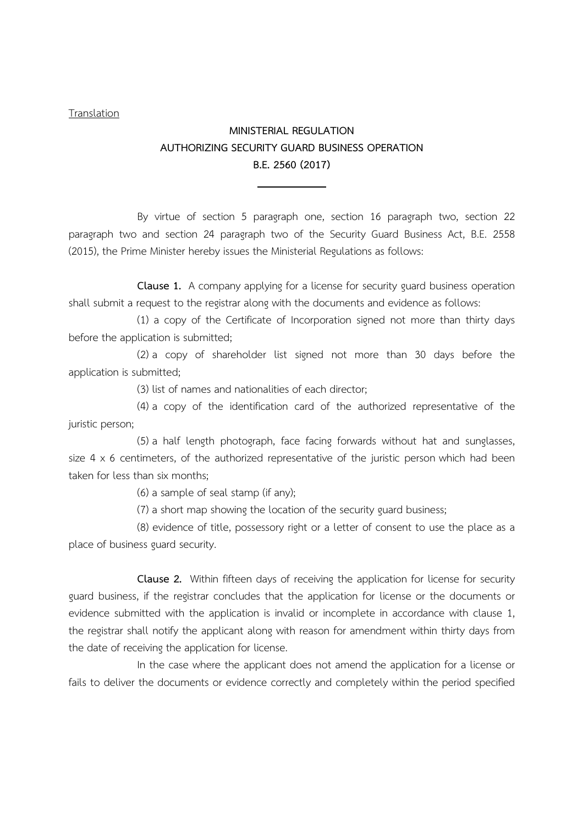## Translation

## MINISTERIAL REGULATION AUTHORIZING SECURITY GUARD BUSINESS OPERATION B.E. 2560 (2017) L

By virtue of section 5 paragraph one, section 16 paragraph two, section 22 paragraph two and section 24 paragraph two of the Security Guard Business Act, B.E. 2558 (2015), the Prime Minister hereby issues the Ministerial Regulations as follows:

Clause 1. A company applying for a license for security guard business operation shall submit a request to the registrar along with the documents and evidence as follows:

(1) a copy of the Certificate of Incorporation signed not more than thirty days before the application is submitted;

(2) a copy of shareholder list signed not more than 30 days before the application is submitted;

(3) list of names and nationalities of each director;

(4) a copy of the identification card of the authorized representative of the juristic person;

(5) a half length photograph, face facing forwards without hat and sunglasses, size  $4 \times 6$  centimeters, of the authorized representative of the juristic person which had been taken for less than six months;

(6) a sample of seal stamp (if any);

(7) a short map showing the location of the security guard business;

(8) evidence of title, possessory right or a letter of consent to use the place as a place of business guard security.

Clause 2. Within fifteen days of receiving the application for license for security guard business, if the registrar concludes that the application for license or the documents or evidence submitted with the application is invalid or incomplete in accordance with clause 1, the registrar shall notify the applicant along with reason for amendment within thirty days from the date of receiving the application for license.

 In the case where the applicant does not amend the application for a license or fails to deliver the documents or evidence correctly and completely within the period specified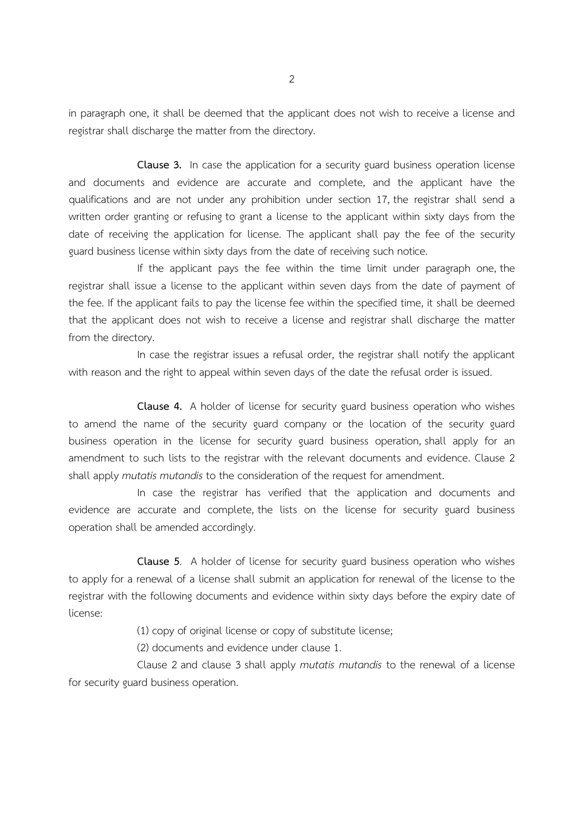in paragraph one, it shall be deemed that the applicant does not wish to receive a license and registrar shall discharge the matter from the directory.

Clause 3. In case the application for a security guard business operation license and documents and evidence are accurate and complete, and the applicant have the qualifications and are not under any prohibition under section 17, the registrar shall send a written order granting or refusing to grant a license to the applicant within sixty days from the date of receiving the application for license. The applicant shall pay the fee of the security guard business license within sixty days from the date of receiving such notice.

If the applicant pays the fee within the time limit under paragraph one, the registrar shall issue a license to the applicant within seven days from the date of payment of the fee. If the applicant fails to pay the license fee within the specified time, it shall be deemed that the applicant does not wish to receive a license and registrar shall discharge the matter from the directory.

In case the registrar issues a refusal order, the registrar shall notify the applicant with reason and the right to appeal within seven days of the date the refusal order is issued.

Clause 4. A holder of license for security guard business operation who wishes to amend the name of the security guard company or the location of the security guard business operation in the license for security guard business operation, shall apply for an amendment to such lists to the registrar with the relevant documents and evidence. Clause 2 shall apply mutatis mutandis to the consideration of the request for amendment.

In case the registrar has verified that the application and documents and evidence are accurate and complete, the lists on the license for security guard business operation shall be amended accordingly.

Clause 5. A holder of license for security guard business operation who wishes to apply for a renewal of a license shall submit an application for renewal of the license to the registrar with the following documents and evidence within sixty days before the expiry date of license:

(1) copy of original license or copy of substitute license;

(2) documents and evidence under clause 1.

Clause 2 and clause 3 shall apply mutatis mutandis to the renewal of a license for security guard business operation.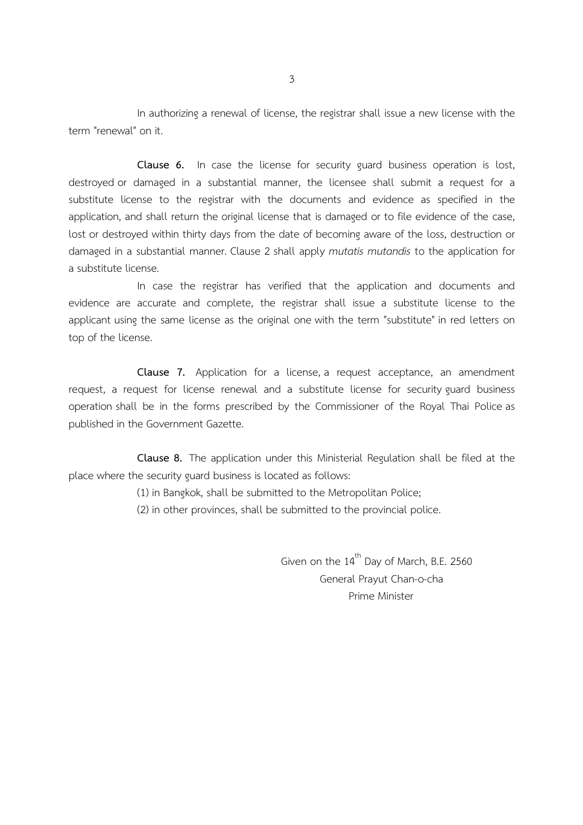In authorizing a renewal of license, the registrar shall issue a new license with the term "renewal" on it.

Clause 6. In case the license for security guard business operation is lost, destroyed or damaged in a substantial manner, the licensee shall submit a request for a substitute license to the registrar with the documents and evidence as specified in the application, and shall return the original license that is damaged or to file evidence of the case, lost or destroyed within thirty days from the date of becoming aware of the loss, destruction or damaged in a substantial manner. Clause 2 shall apply mutatis mutandis to the application for a substitute license.

In case the registrar has verified that the application and documents and evidence are accurate and complete, the registrar shall issue a substitute license to the applicant using the same license as the original one with the term "substitute" in red letters on top of the license.

Clause 7. Application for a license, a request acceptance, an amendment request, a request for license renewal and a substitute license for security guard business operation shall be in the forms prescribed by the Commissioner of the Royal Thai Police as published in the Government Gazette.

Clause 8. The application under this Ministerial Regulation shall be filed at the place where the security guard business is located as follows:

(1) in Bangkok, shall be submitted to the Metropolitan Police;

(2) in other provinces, shall be submitted to the provincial police.

Given on the  $14^{th}$  Day of March, B.E. 2560 General Prayut Chan-o-cha Prime Minister